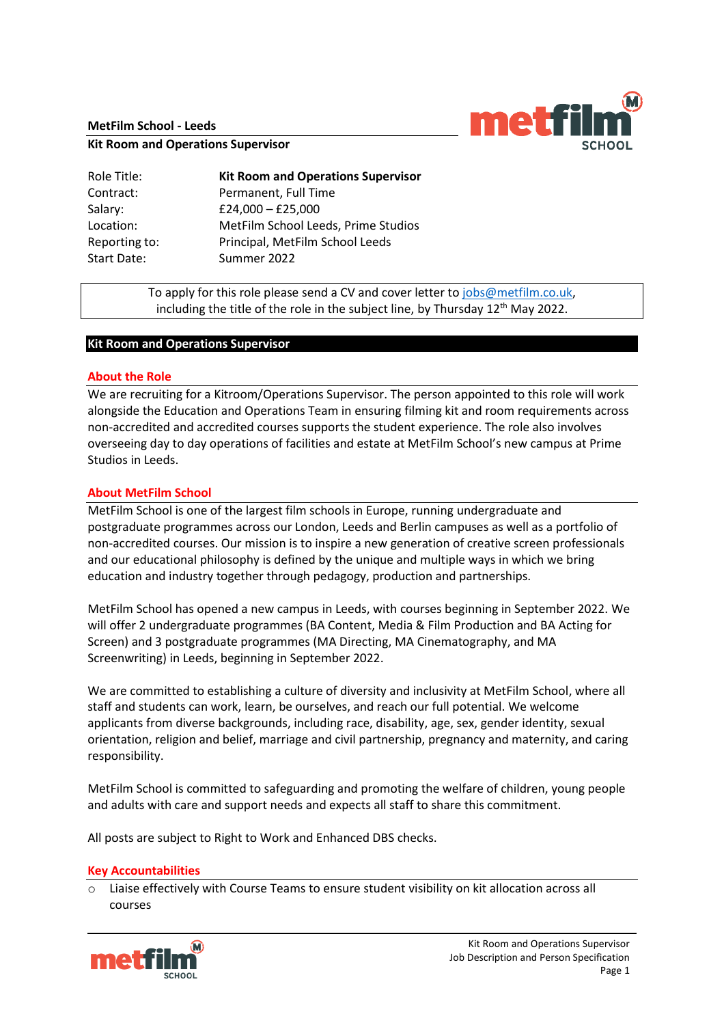#### **MetFilm School - Leeds**



**Kit Room and Operations Supervisor**

| Role Title:   | <b>Kit Room and Operations Supervisor</b> |
|---------------|-------------------------------------------|
| Contract:     | Permanent, Full Time                      |
| Salary:       | $£24,000 - £25,000$                       |
| Location:     | MetFilm School Leeds, Prime Studios       |
| Reporting to: | Principal, MetFilm School Leeds           |
| Start Date:   | Summer 2022                               |

To apply for this role please send a CV and cover letter to [jobs@metfilm.co.uk,](mailto:jobs@metfilm.co.uk) including the title of the role in the subject line, by Thursday  $12<sup>th</sup>$  May 2022.

# **Kit Room and Operations Supervisor**

#### **About the Role**

We are recruiting for a Kitroom/Operations Supervisor. The person appointed to this role will work alongside the Education and Operations Team in ensuring filming kit and room requirements across non-accredited and accredited courses supports the student experience. The role also involves overseeing day to day operations of facilities and estate at MetFilm School's new campus at Prime Studios in Leeds.

#### **About MetFilm School**

MetFilm School is one of the largest film schools in Europe, running undergraduate and postgraduate programmes across our London, Leeds and Berlin campuses as well as a portfolio of non-accredited courses. Our mission is to inspire a new generation of creative screen professionals and our educational philosophy is defined by the unique and multiple ways in which we bring education and industry together through pedagogy, production and partnerships.

MetFilm School has opened a new campus in Leeds, with courses beginning in September 2022. We will offer 2 undergraduate programmes (BA Content, Media & Film Production and BA Acting for Screen) and 3 postgraduate programmes (MA Directing, MA Cinematography, and MA Screenwriting) in Leeds, beginning in September 2022.

We are committed to establishing a culture of diversity and inclusivity at MetFilm School, where all staff and students can work, learn, be ourselves, and reach our full potential. We welcome applicants from diverse backgrounds, including race, disability, age, sex, gender identity, sexual orientation, religion and belief, marriage and civil partnership, pregnancy and maternity, and caring responsibility.

MetFilm School is committed to safeguarding and promoting the welfare of children, young people and adults with care and support needs and expects all staff to share this commitment.

All posts are subject to Right to Work and Enhanced DBS checks.

#### **Key Accountabilities**

 $\circ$  Liaise effectively with Course Teams to ensure student visibility on kit allocation across all courses